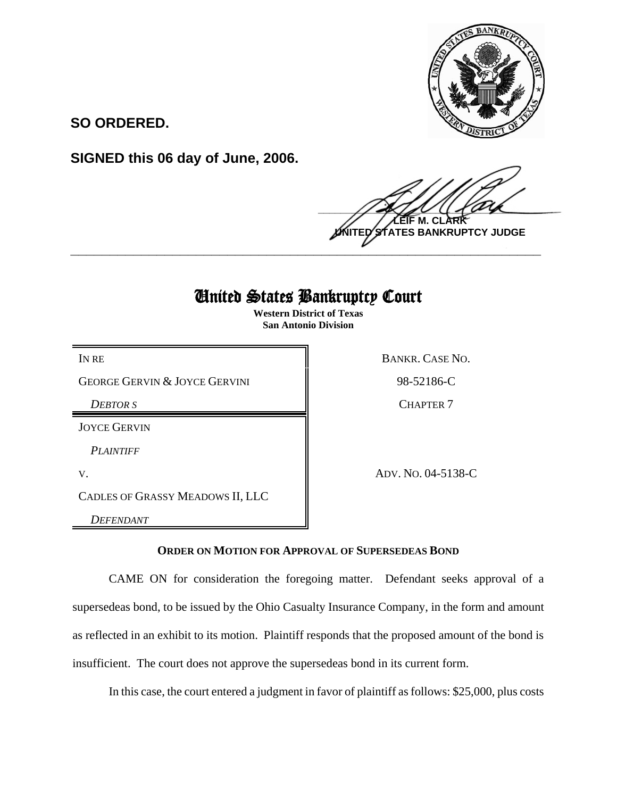

**SO ORDERED.**

**SIGNED this 06 day of June, 2006.**

 $\frac{1}{2}$ **M. NTES BANKRUPTCY JUDGE \_\_\_\_\_\_\_\_\_\_\_\_\_\_\_\_\_\_\_\_\_\_\_\_\_\_\_\_\_\_\_\_\_\_\_\_\_\_\_\_\_\_\_\_\_\_\_\_\_\_\_\_\_\_\_\_\_\_\_\_**

## United States Bankruptcy Court

**Western District of Texas San Antonio Division**

GEORGE GERVIN & JOYCE GERVINI 98-52186-C

*DEBTOR S* CHAPTER 7

JOYCE GERVIN

*PLAINTIFF* 

CADLES OF GRASSY MEADOWS II, LLC

*DEFENDANT* 

IN RE BANKR. CASE NO.

V. ADV. NO. 04-5138-C

**ORDER ON MOTION FOR APPROVAL OF SUPERSEDEAS BOND**

CAME ON for consideration the foregoing matter. Defendant seeks approval of a supersedeas bond, to be issued by the Ohio Casualty Insurance Company, in the form and amount as reflected in an exhibit to its motion. Plaintiff responds that the proposed amount of the bond is insufficient. The court does not approve the supersedeas bond in its current form.

In this case, the court entered a judgment in favor of plaintiff as follows: \$25,000, plus costs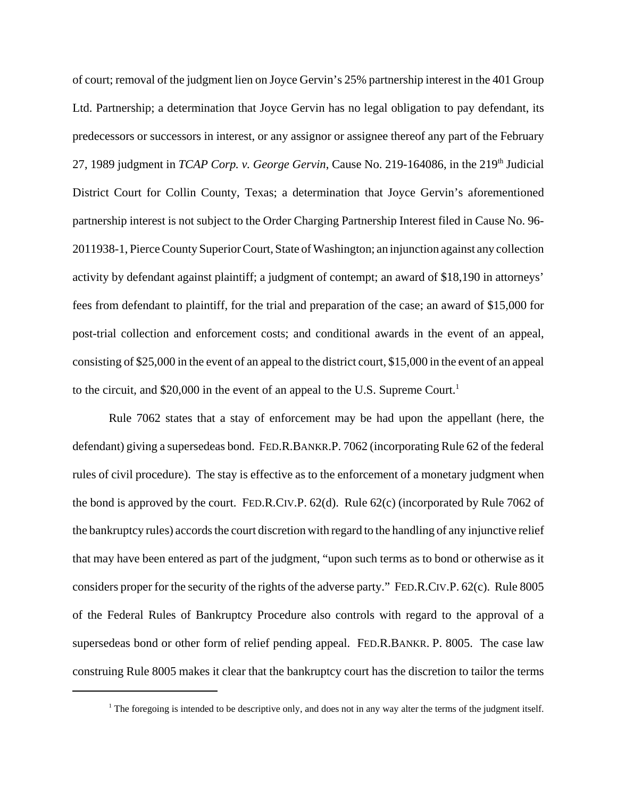of court; removal of the judgment lien on Joyce Gervin's 25% partnership interest in the 401 Group Ltd. Partnership; a determination that Joyce Gervin has no legal obligation to pay defendant, its predecessors or successors in interest, or any assignor or assignee thereof any part of the February 27, 1989 judgment in *TCAP Corp. v. George Gervin*, Cause No. 219-164086, in the 219<sup>th</sup> Judicial District Court for Collin County, Texas; a determination that Joyce Gervin's aforementioned partnership interest is not subject to the Order Charging Partnership Interest filed in Cause No. 96- 2011938-1, Pierce County Superior Court, State of Washington; an injunction against any collection activity by defendant against plaintiff; a judgment of contempt; an award of \$18,190 in attorneys' fees from defendant to plaintiff, for the trial and preparation of the case; an award of \$15,000 for post-trial collection and enforcement costs; and conditional awards in the event of an appeal, consisting of \$25,000 in the event of an appeal to the district court, \$15,000 in the event of an appeal to the circuit, and  $$20,000$  in the event of an appeal to the U.S. Supreme Court.<sup>1</sup>

Rule 7062 states that a stay of enforcement may be had upon the appellant (here, the defendant) giving a supersedeas bond. FED.R.BANKR.P. 7062 (incorporating Rule 62 of the federal rules of civil procedure). The stay is effective as to the enforcement of a monetary judgment when the bond is approved by the court. FED.R.CIV.P. 62(d). Rule 62(c) (incorporated by Rule 7062 of the bankruptcy rules) accords the court discretion with regard to the handling of any injunctive relief that may have been entered as part of the judgment, "upon such terms as to bond or otherwise as it considers proper for the security of the rights of the adverse party." FED.R.CIV.P. 62(c). Rule 8005 of the Federal Rules of Bankruptcy Procedure also controls with regard to the approval of a supersedeas bond or other form of relief pending appeal. FED.R.BANKR. P. 8005. The case law construing Rule 8005 makes it clear that the bankruptcy court has the discretion to tailor the terms

<sup>&</sup>lt;sup>1</sup> The foregoing is intended to be descriptive only, and does not in any way alter the terms of the judgment itself.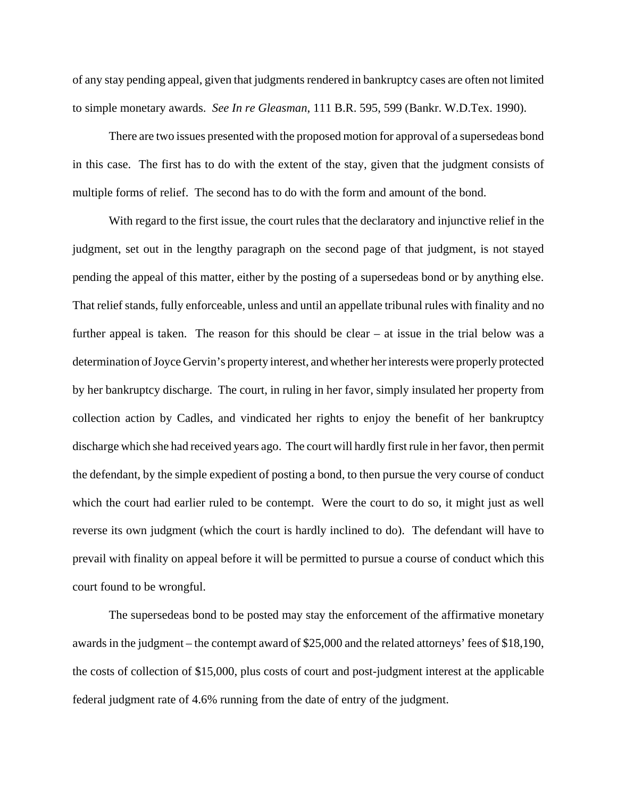of any stay pending appeal, given that judgments rendered in bankruptcy cases are often not limited to simple monetary awards. *See In re Gleasman*, 111 B.R. 595, 599 (Bankr. W.D.Tex. 1990).

There are two issues presented with the proposed motion for approval of a supersedeas bond in this case. The first has to do with the extent of the stay, given that the judgment consists of multiple forms of relief. The second has to do with the form and amount of the bond.

With regard to the first issue, the court rules that the declaratory and injunctive relief in the judgment, set out in the lengthy paragraph on the second page of that judgment, is not stayed pending the appeal of this matter, either by the posting of a supersedeas bond or by anything else. That relief stands, fully enforceable, unless and until an appellate tribunal rules with finality and no further appeal is taken. The reason for this should be clear – at issue in the trial below was a determination of Joyce Gervin's property interest, and whether her interests were properly protected by her bankruptcy discharge. The court, in ruling in her favor, simply insulated her property from collection action by Cadles, and vindicated her rights to enjoy the benefit of her bankruptcy discharge which she had received years ago. The court will hardly first rule in her favor, then permit the defendant, by the simple expedient of posting a bond, to then pursue the very course of conduct which the court had earlier ruled to be contempt. Were the court to do so, it might just as well reverse its own judgment (which the court is hardly inclined to do). The defendant will have to prevail with finality on appeal before it will be permitted to pursue a course of conduct which this court found to be wrongful.

The supersedeas bond to be posted may stay the enforcement of the affirmative monetary awards in the judgment – the contempt award of \$25,000 and the related attorneys' fees of \$18,190, the costs of collection of \$15,000, plus costs of court and post-judgment interest at the applicable federal judgment rate of 4.6% running from the date of entry of the judgment.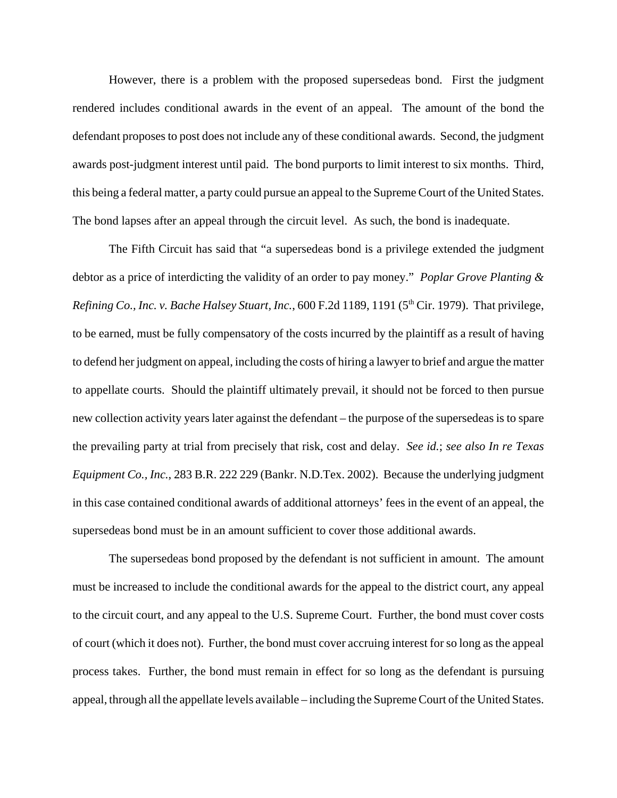However, there is a problem with the proposed supersedeas bond. First the judgment rendered includes conditional awards in the event of an appeal. The amount of the bond the defendant proposes to post does not include any of these conditional awards. Second, the judgment awards post-judgment interest until paid. The bond purports to limit interest to six months. Third, this being a federal matter, a party could pursue an appeal to the Supreme Court of the United States. The bond lapses after an appeal through the circuit level. As such, the bond is inadequate.

The Fifth Circuit has said that "a supersedeas bond is a privilege extended the judgment debtor as a price of interdicting the validity of an order to pay money." *Poplar Grove Planting & Refining Co., Inc. v. Bache Halsey Stuart, Inc.,* 600 F.2d 1189, 1191 (5<sup>th</sup> Cir. 1979). That privilege, to be earned, must be fully compensatory of the costs incurred by the plaintiff as a result of having to defend her judgment on appeal, including the costs of hiring a lawyer to brief and argue the matter to appellate courts. Should the plaintiff ultimately prevail, it should not be forced to then pursue new collection activity years later against the defendant – the purpose of the supersedeas is to spare the prevailing party at trial from precisely that risk, cost and delay. *See id.*; *see also In re Texas Equipment Co., Inc.*, 283 B.R. 222 229 (Bankr. N.D.Tex. 2002). Because the underlying judgment in this case contained conditional awards of additional attorneys' fees in the event of an appeal, the supersedeas bond must be in an amount sufficient to cover those additional awards.

The supersedeas bond proposed by the defendant is not sufficient in amount. The amount must be increased to include the conditional awards for the appeal to the district court, any appeal to the circuit court, and any appeal to the U.S. Supreme Court. Further, the bond must cover costs of court (which it does not). Further, the bond must cover accruing interest for so long as the appeal process takes. Further, the bond must remain in effect for so long as the defendant is pursuing appeal, through all the appellate levels available – including the Supreme Court of the United States.